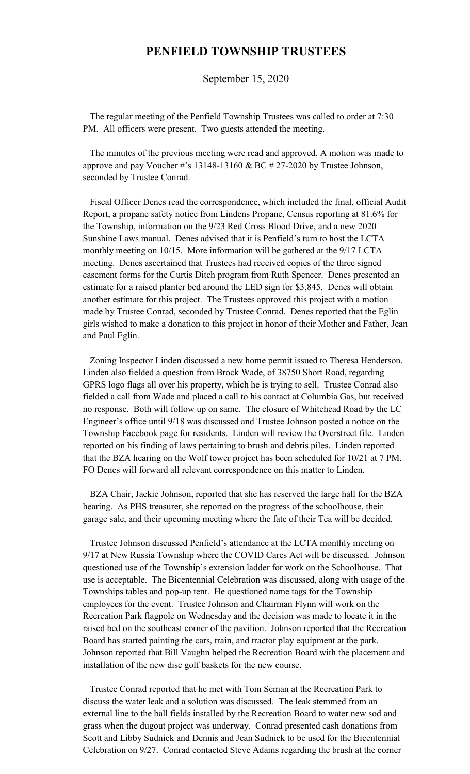## **PENFIELD TOWNSHIP TRUSTEES**

September 15, 2020

 The regular meeting of the Penfield Township Trustees was called to order at 7:30 PM. All officers were present. Two guests attended the meeting.

 The minutes of the previous meeting were read and approved. A motion was made to approve and pay Voucher #'s  $13148-13160 \& BC # 27-2020$  by Trustee Johnson, seconded by Trustee Conrad.

 Fiscal Officer Denes read the correspondence, which included the final, official Audit Report, a propane safety notice from Lindens Propane, Census reporting at 81.6% for the Township, information on the 9/23 Red Cross Blood Drive, and a new 2020 Sunshine Laws manual. Denes advised that it is Penfield's turn to host the LCTA monthly meeting on 10/15. More information will be gathered at the 9/17 LCTA meeting. Denes ascertained that Trustees had received copies of the three signed easement forms for the Curtis Ditch program from Ruth Spencer. Denes presented an estimate for a raised planter bed around the LED sign for \$3,845. Denes will obtain another estimate for this project. The Trustees approved this project with a motion made by Trustee Conrad, seconded by Trustee Conrad. Denes reported that the Eglin girls wished to make a donation to this project in honor of their Mother and Father, Jean and Paul Eglin.

 Zoning Inspector Linden discussed a new home permit issued to Theresa Henderson. Linden also fielded a question from Brock Wade, of 38750 Short Road, regarding GPRS logo flags all over his property, which he is trying to sell. Trustee Conrad also fielded a call from Wade and placed a call to his contact at Columbia Gas, but received no response. Both will follow up on same. The closure of Whitehead Road by the LC Engineer's office until 9/18 was discussed and Trustee Johnson posted a notice on the Township Facebook page for residents. Linden will review the Overstreet file. Linden reported on his finding of laws pertaining to brush and debris piles. Linden reported that the BZA hearing on the Wolf tower project has been scheduled for 10/21 at 7 PM. FO Denes will forward all relevant correspondence on this matter to Linden.

 BZA Chair, Jackie Johnson, reported that she has reserved the large hall for the BZA hearing. As PHS treasurer, she reported on the progress of the schoolhouse, their garage sale, and their upcoming meeting where the fate of their Tea will be decided.

 Trustee Johnson discussed Penfield's attendance at the LCTA monthly meeting on 9/17 at New Russia Township where the COVID Cares Act will be discussed. Johnson questioned use of the Township's extension ladder for work on the Schoolhouse. That use is acceptable. The Bicentennial Celebration was discussed, along with usage of the Townships tables and pop-up tent. He questioned name tags for the Township employees for the event. Trustee Johnson and Chairman Flynn will work on the Recreation Park flagpole on Wednesday and the decision was made to locate it in the raised bed on the southeast corner of the pavilion. Johnson reported that the Recreation Board has started painting the cars, train, and tractor play equipment at the park. Johnson reported that Bill Vaughn helped the Recreation Board with the placement and installation of the new disc golf baskets for the new course.

 Trustee Conrad reported that he met with Tom Seman at the Recreation Park to discuss the water leak and a solution was discussed. The leak stemmed from an external line to the ball fields installed by the Recreation Board to water new sod and grass when the dugout project was underway. Conrad presented cash donations from Scott and Libby Sudnick and Dennis and Jean Sudnick to be used for the Bicentennial Celebration on 9/27. Conrad contacted Steve Adams regarding the brush at the corner